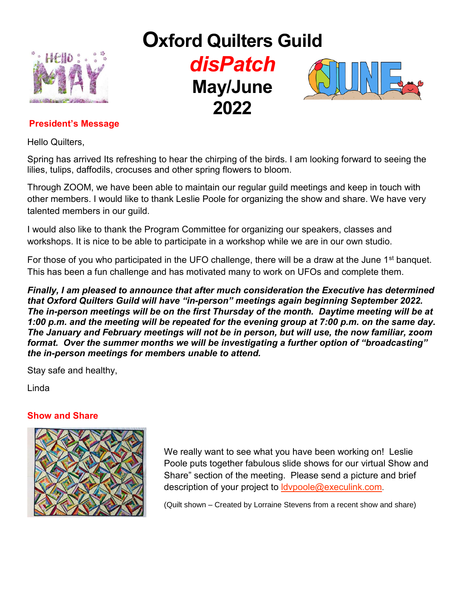

# **Oxford Quilters Guild**  *disPatch* **May/June 2022**



# **President's Message**

Hello Quilters,

Spring has arrived Its refreshing to hear the chirping of the birds. I am looking forward to seeing the lilies, tulips, daffodils, crocuses and other spring flowers to bloom.

Through ZOOM, we have been able to maintain our regular guild meetings and keep in touch with other members. I would like to thank Leslie Poole for organizing the show and share. We have very talented members in our guild.

I would also like to thank the Program Committee for organizing our speakers, classes and workshops. It is nice to be able to participate in a workshop while we are in our own studio.

For those of you who participated in the UFO challenge, there will be a draw at the June 1<sup>st</sup> banguet. This has been a fun challenge and has motivated many to work on UFOs and complete them.

*Finally, I am pleased to announce that after much consideration the Executive has determined that Oxford Quilters Guild will have "in-person" meetings again beginning September 2022. The in-person meetings will be on the first Thursday of the month. Daytime meeting will be at 1:00 p.m. and the meeting will be repeated for the evening group at 7:00 p.m. on the same day. The January and February meetings will not be in person, but will use, the now familiar, zoom format. Over the summer months we will be investigating a further option of "broadcasting" the in-person meetings for members unable to attend.*

Stay safe and healthy,

Linda

### **Show and Share**



We really want to see what you have been working on! Leslie Poole puts together fabulous slide shows for our virtual Show and Share" section of the meeting. Please send a picture and brief description of your project to **ldvpoole@execulink.com**.

(Quilt shown – Created by Lorraine Stevens from a recent show and share)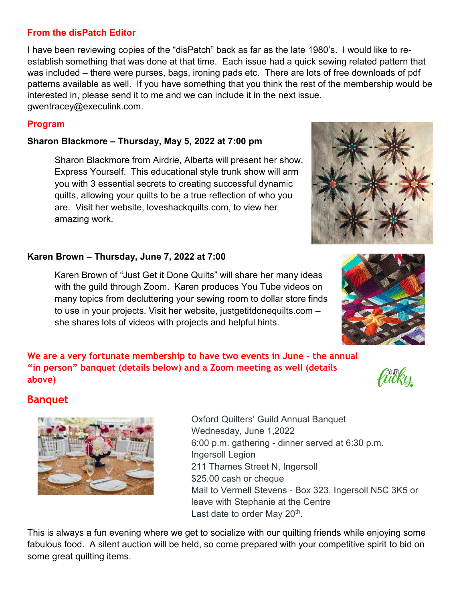# **From the disPatch Editor**

I have been reviewing copies of the "disPatch" back as far as the late 1980's. I would like to reestablish something that was done at that time. Each issue had a quick sewing related pattern that was included – there were purses, bags, ironing pads etc. There are lots of free downloads of pdf patterns available as well. If you have something that you think the rest of the membership would be interested in, please send it to me and we can include it in the next issue. gwentracey@execulink.com.

# **Program**

# **Sharon Blackmore – Thursday, May 5, 2022 at 7:00 pm**

Sharon Blackmore from Airdrie, Alberta will present her show, Express Yourself. This educational style trunk show will arm you with 3 essential secrets to creating successful dynamic quilts, allowing your quilts to be a true reflection of who you are. Visit her website, loveshackquilts.com, to view her amazing work.

# **Karen Brown – Thursday, June 7, 2022 at 7:00**

Karen Brown of "Just Get it Done Quilts" will share her many ideas with the guild through Zoom. Karen produces You Tube videos on many topics from decluttering your sewing room to dollar store finds to use in your projects. Visit her website, justgetitdonequilts.com – she shares lots of videos with projects and helpful hints.

**We are a very fortunate membership to have two events in June – the annual "in person" banquet (details below) and a Zoom meeting as well (details above)**

# **Banquet**



Oxford Quilters' Guild Annual Banquet Wednesday, June 1,2022 6:00 p.m. gathering - dinner served at 6:30 p.m. Ingersoll Legion 211 Thames Street N, Ingersoll \$25.00 cash or cheque Mail to Vermell Stevens - Box 323, Ingersoll N5C 3K5 or leave with Stephanie at the Centre Last date to order May 20<sup>th</sup>.

This is always a fun evening where we get to socialize with our quilting friends while enjoying some fabulous food. A silent auction will be held, so come prepared with your competitive spirit to bid on some great quilting items.





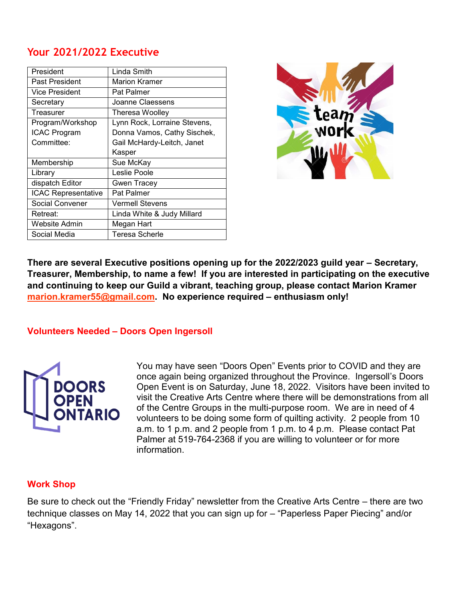# **Your 2021/2022 Executive**

| President                  | Linda Smith                  |
|----------------------------|------------------------------|
| Past President             | <b>Marion Kramer</b>         |
| <b>Vice President</b>      | Pat Palmer                   |
| Secretary                  | Joanne Claessens             |
| Treasurer                  | Theresa Woolley              |
| Program/Workshop           | Lynn Rock, Lorraine Stevens, |
| <b>ICAC Program</b>        | Donna Vamos, Cathy Sischek,  |
| Committee:                 | Gail McHardy-Leitch, Janet   |
|                            | Kasper                       |
| Membership                 | Sue McKay                    |
| Library                    | Leslie Poole                 |
| dispatch Editor            | <b>Gwen Tracey</b>           |
| <b>ICAC Representative</b> | Pat Palmer                   |
| Social Convener            | <b>Vermell Stevens</b>       |
| Retreat:                   | Linda White & Judy Millard   |
| <b>Website Admin</b>       | Megan Hart                   |
| Social Media               | <b>Teresa Scherle</b>        |



**There are several Executive positions opening up for the 2022/2023 guild year – Secretary, Treasurer, Membership, to name a few! If you are interested in participating on the executive and continuing to keep our Guild a vibrant, teaching group, please contact Marion Kramer [marion.kramer55@gmail.com.](mailto:marion.kramer55@gmail.com) No experience required – enthusiasm only!**

### **Volunteers Needed – Doors Open Ingersoll**



You may have seen "Doors Open" Events prior to COVID and they are once again being organized throughout the Province. Ingersoll's Doors Open Event is on Saturday, June 18, 2022. Visitors have been invited to visit the Creative Arts Centre where there will be demonstrations from all of the Centre Groups in the multi-purpose room. We are in need of 4 volunteers to be doing some form of quilting activity. 2 people from 10 a.m. to 1 p.m. and 2 people from 1 p.m. to 4 p.m. Please contact Pat Palmer at 519-764-2368 if you are willing to volunteer or for more information.

### **Work Shop**

Be sure to check out the "Friendly Friday" newsletter from the Creative Arts Centre – there are two technique classes on May 14, 2022 that you can sign up for – "Paperless Paper Piecing" and/or "Hexagons".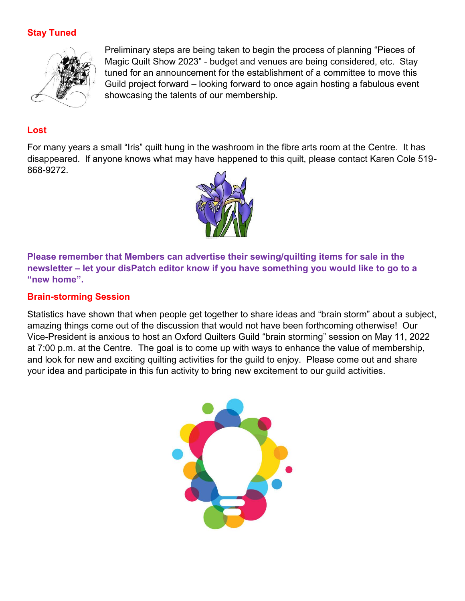# **Stay Tuned**



Preliminary steps are being taken to begin the process of planning "Pieces of Magic Quilt Show 2023" - budget and venues are being considered, etc. Stay tuned for an announcement for the establishment of a committee to move this Guild project forward – looking forward to once again hosting a fabulous event showcasing the talents of our membership.

## **Lost**

For many years a small "Iris" quilt hung in the washroom in the fibre arts room at the Centre. It has disappeared. If anyone knows what may have happened to this quilt, please contact Karen Cole 519- 868-9272.



**Please remember that Members can advertise their sewing/quilting items for sale in the newsletter – let your disPatch editor know if you have something you would like to go to a "new home".** 

## **Brain-storming Session**

Statistics have shown that when people get together to share ideas and "brain storm" about a subject, amazing things come out of the discussion that would not have been forthcoming otherwise! Our Vice-President is anxious to host an Oxford Quilters Guild "brain storming" session on May 11, 2022 at 7:00 p.m. at the Centre. The goal is to come up with ways to enhance the value of membership, and look for new and exciting quilting activities for the guild to enjoy. Please come out and share your idea and participate in this fun activity to bring new excitement to our guild activities.

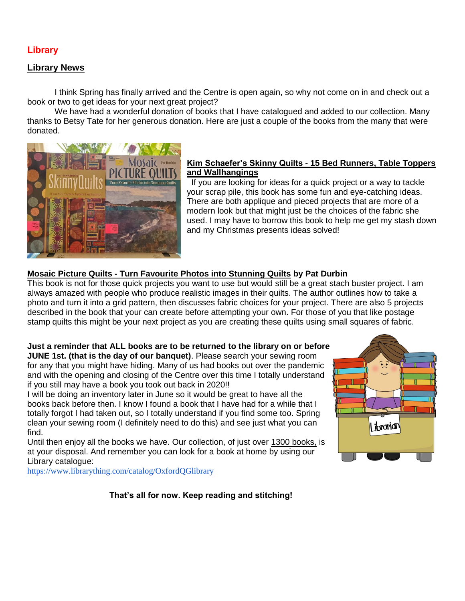#### **Library**

#### **Library News**

I think Spring has finally arrived and the Centre is open again, so why not come on in and check out a book or two to get ideas for your next great project?

We have had a wonderful donation of books that I have catalogued and added to our collection. Many thanks to Betsy Tate for her generous donation. Here are just a couple of the books from the many that were donated.



#### **Kim Schaefer's Skinny Quilts - 15 Bed Runners, Table Toppers and Wallhangings**

If you are looking for ideas for a quick project or a way to tackle your scrap pile, this book has some fun and eye-catching ideas. There are both applique and pieced projects that are more of a modern look but that might just be the choices of the fabric she used. I may have to borrow this book to help me get my stash down and my Christmas presents ideas solved!

#### **Mosaic Picture Quilts - Turn Favourite Photos into Stunning Quilts by Pat Durbin**

This book is not for those quick projects you want to use but would still be a great stach buster project. I am always amazed with people who produce realistic images in their quilts. The author outlines how to take a photo and turn it into a grid pattern, then discusses fabric choices for your project. There are also 5 projects described in the book that your can create before attempting your own. For those of you that like postage stamp quilts this might be your next project as you are creating these quilts using small squares of fabric.

#### **Just a reminder that ALL books are to be returned to the library on or before JUNE 1st. (that is the day of our banquet)**. Please search your sewing room

for any that you might have hiding. Many of us had books out over the pandemic and with the opening and closing of the Centre over this time I totally understand if you still may have a book you took out back in 2020!!

I will be doing an inventory later in June so it would be great to have all the books back before then. I know I found a book that I have had for a while that I totally forgot I had taken out, so I totally understand if you find some too. Spring clean your sewing room (I definitely need to do this) and see just what you can find.

Until then enjoy all the books we have. Our collection, of just over 1300 books, is at your disposal. And remember you can look for a book at home by using our Library catalogue:



<https://www.librarything.com/catalog/OxfordQGlibrary>

**That's all for now. Keep reading and stitching!**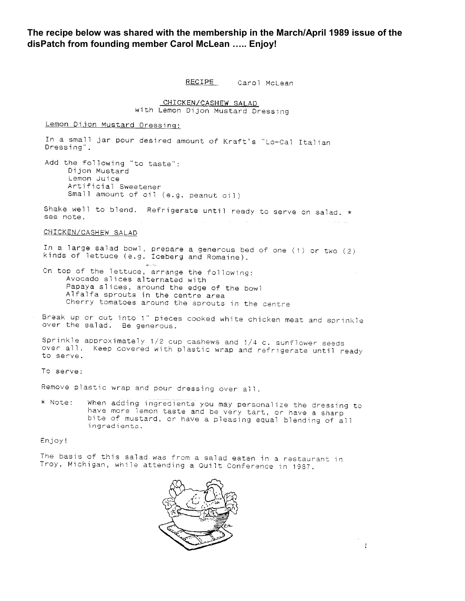**The recipe below was shared with the membership in the March/April 1989 issue of the disPatch from founding member Carol McLean ….. Enjoy!**

RECIPE Carol McLean

CHICKEN/CASHEW SALAD

with Lemon Dijon Mustard Dressing

Lemon Dijon Mustard Dressing:

In a small jar pour desired amount of Kraft's "Lo-Cal Italian Dressing". Add the following "to taste": Dijon Mustard Lemon Juice Artificial Sweetener Small amount of oil (e.g. peanut oil) Shake well to blend. Refrigerate until ready to serve on salad. \* see note. CHICKEN/CASHEW SALAD In a large salad bowl, prepare a generous bed of one (1) or two (2) kinds of lettuce (e.g. Iceberg and Romaine). On top of the lettuce, arrange the following: Avocado slices alternated with Papaya slices, around the edge of the bowl Alfalfa sprouts in the centre area Cherry tomatoes around the sprouts in the centre Break up or cut into 1" pieces cooked white chicken meat and sprinkle over the salad. Be generous. Sprinkle approximately 1/2 cup cashews and 1/4 c. sunflower seeds over all. Keep covered with plastic wrap and refrigerate until ready

To serve:

to serve.

Remove plastic wrap and pour dressing over all.

When adding ingredients you may personalize the dressing to \* Note: have more lemon taste and be very tart, or have a sharp bite of mustard, or have a pleasing equal blending of all ingredients.

Enjoy!

The basis of this salad was from a salad eaten in a restaurant in Troy, Michigan, while attending a Quilt Conference in 1987.